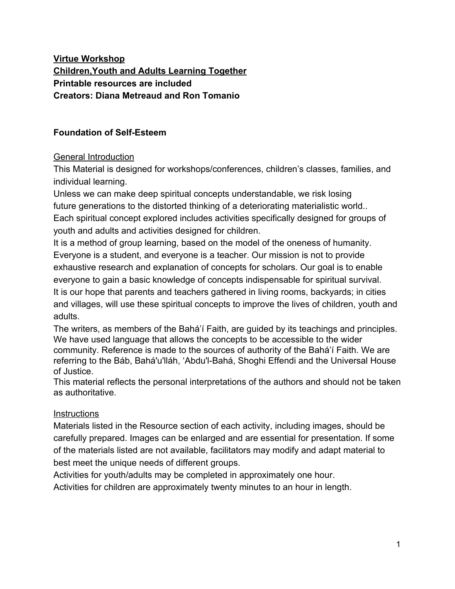# **Virtue Workshop Children,Youth and Adults Learning Together Printable resources are included Creators: Diana Metreaud and Ron Tomanio**

# **Foundation of Self-Esteem**

## General Introduction

This Material is designed for workshops/conferences, children's classes, families, and individual learning.

Unless we can make deep spiritual concepts understandable, we risk losing future generations to the distorted thinking of a deteriorating materialistic world.. Each spiritual concept explored includes activities specifically designed for groups of youth and adults and activities designed for children.

It is a method of group learning, based on the model of the oneness of humanity. Everyone is a student, and everyone is a teacher. Our mission is not to provide exhaustive research and explanation of concepts for scholars. Our goal is to enable everyone to gain a basic knowledge of concepts indispensable for spiritual survival. It is our hope that parents and teachers gathered in living rooms, backyards; in cities and villages, will use these spiritual concepts to improve the lives of children, youth and adults.

The writers, as members of the Bahá'í Faith, are guided by its teachings and principles. We have used language that allows the concepts to be accessible to the wider community. Reference is made to the sources of authority of the Bahá'í Faith. We are referring to the Báb, Bahá'u'lláh, 'Abdu'l-Bahá, Shoghi Effendi and the Universal House of Justice.

This material reflects the personal interpretations of the authors and should not be taken as authoritative.

#### **Instructions**

Materials listed in the Resource section of each activity, including images, should be carefully prepared. Images can be enlarged and are essential for presentation. If some of the materials listed are not available, facilitators may modify and adapt material to best meet the unique needs of different groups.

Activities for youth/adults may be completed in approximately one hour.

Activities for children are approximately twenty minutes to an hour in length.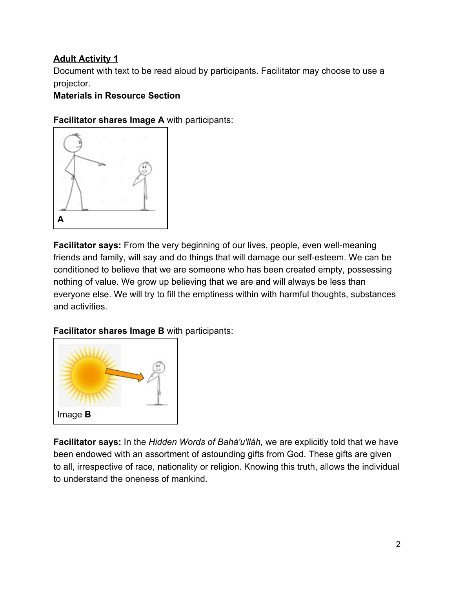# **Adult Activity 1**

Document with text to be read aloud by participants. Facilitator may choose to use a projector.

## **Materials in Resource Section**

**Facilitator shares Image A** with participants:



**Facilitator says:** From the very beginning of our lives, people, even well-meaning friends and family, will say and do things that will damage our self-esteem. We can be conditioned to believe that we are someone who has been created empty, possessing nothing of value. We grow up believing that we are and will always be less than everyone else. We will try to fill the emptiness within with harmful thoughts, substances and activities.

**Facilitator shares Image B** with participants:



**Facilitator says:** In the *Hidden Words of Bahá'u'lláh,* we are explicitly told that we have been endowed with an assortment of astounding gifts from God. These gifts are given to all, irrespective of race, nationality or religion. Knowing this truth, allows the individual to understand the oneness of mankind.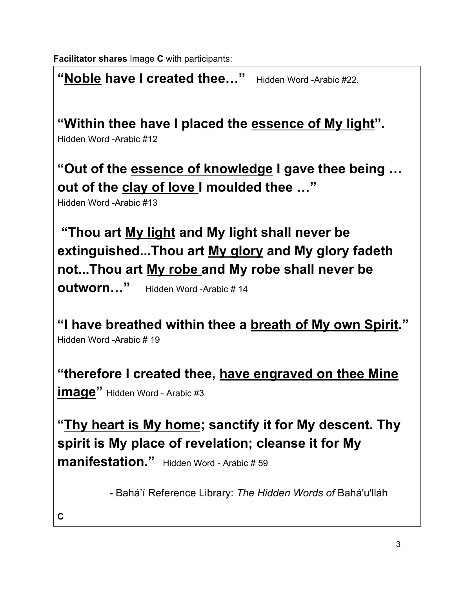**Facilitator shares** Image **C** with participants:

"Noble have I created thee..." Hidden Word -Arabic #22.

**"Within thee have I placed the essence of My light".**

Hidden Word -Arabic #12

**"Out of the essence of knowledge I gave thee being … out of the clay of love I moulded thee …"**

Hidden Word -Arabic #13

 **"Thou art My light and My light shall never be extinguished...Thou art My glory and My glory fadeth not...Thou art My robe and My robe shall never be**

**outworn…"** Hidden Word -Arabic # 14

**"I have breathed within thee a breath of My own Spirit."** Hidden Word -Arabic # 19

**"therefore I created thee, have engraved on thee Mine image"** Hidden Word - Arabic #3

**"Thy heart is My home; sanctify it for My descent. Thy spirit is My place of revelation; cleanse it for My manifestation."** Hidden Word - Arabic # 59

**-** Bahá'í Reference Library: *The Hidden Words of* Bahá'u'lláh

**C**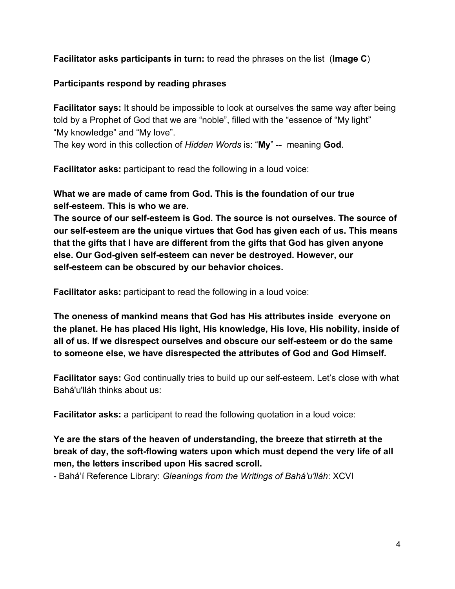**Facilitator asks participants in turn:** to read the phrases on the list (**Image C**)

## **Participants respond by reading phrases**

**Facilitator says:** It should be impossible to look at ourselves the same way after being told by a Prophet of God that we are "noble", filled with the "essence of "My light" "My knowledge" and "My love".

The key word in this collection of *Hidden Words* is: "**My**" -- meaning **God**.

**Facilitator asks:** participant to read the following in a loud voice:

**What we are made of came from God. This is the foundation of our true self-esteem. This is who we are.**

**The source of our self-esteem is God. The source is not ourselves. The source of our self-esteem are the unique virtues that God has given each of us. This means that the gifts that I have are different from the gifts that God has given anyone else. Our God-given self-esteem can never be destroyed. However, our self-esteem can be obscured by our behavior choices.**

**Facilitator asks:** participant to read the following in a loud voice:

**The oneness of mankind means that God has His attributes inside everyone on the planet. He has placed His light, His knowledge, His love, His nobility, inside of all of us. If we disrespect ourselves and obscure our self-esteem or do the same to someone else, we have disrespected the attributes of God and God Himself.**

**Facilitator says:** God continually tries to build up our self-esteem. Let's close with what Bahá'u'lláh thinks about us:

**Facilitator asks:** a participant to read the following quotation in a loud voice:

**Ye are the stars of the heaven of understanding, the breeze that stirreth at the break of day, the soft-flowing waters upon which must depend the very life of all men, the letters inscribed upon His sacred scroll.**

- Bahá'í Reference Library: *Gleanings from the Writings of Bahá'u'lláh*: XCVI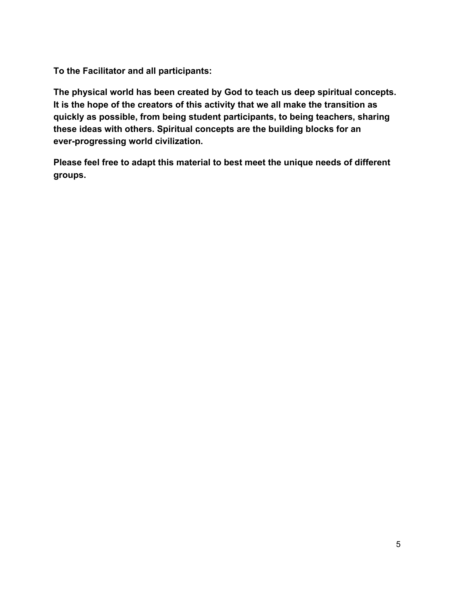**To the Facilitator and all participants:**

**The physical world has been created by God to teach us deep spiritual concepts. It is the hope of the creators of this activity that we all make the transition as quickly as possible, from being student participants, to being teachers, sharing these ideas with others. Spiritual concepts are the building blocks for an ever-progressing world civilization.**

**Please feel free to adapt this material to best meet the unique needs of different groups.**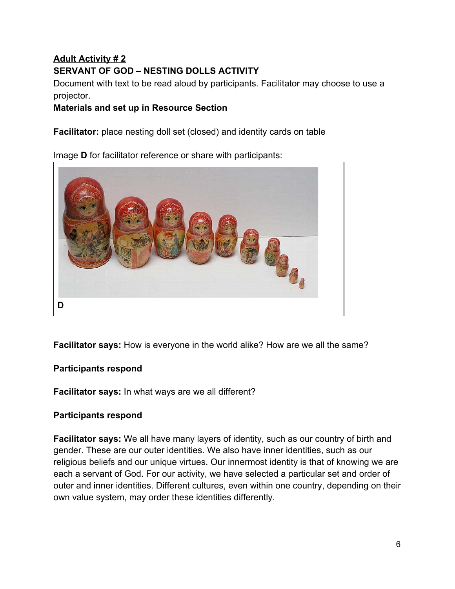# **Adult Activity # 2 SERVANT OF GOD – NESTING DOLLS ACTIVITY**

Document with text to be read aloud by participants. Facilitator may choose to use a projector.

## **Materials and set up in Resource Section**

**Facilitator:** place nesting doll set (closed) and identity cards on table

Image **D** for facilitator reference or share with participants:



**Facilitator says:** How is everyone in the world alike? How are we all the same?

## **Participants respond**

**Facilitator says:** In what ways are we all different?

## **Participants respond**

**Facilitator says:** We all have many layers of identity, such as our country of birth and gender. These are our outer identities. We also have inner identities, such as our religious beliefs and our unique virtues. Our innermost identity is that of knowing we are each a servant of God. For our activity, we have selected a particular set and order of outer and inner identities. Different cultures, even within one country, depending on their own value system, may order these identities differently.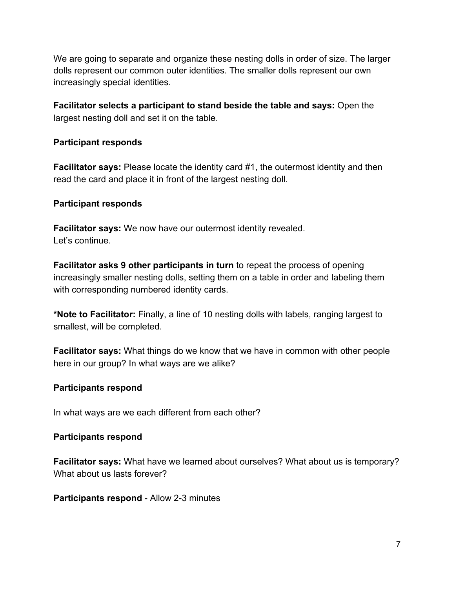We are going to separate and organize these nesting dolls in order of size. The larger dolls represent our common outer identities. The smaller dolls represent our own increasingly special identities.

**Facilitator selects a participant to stand beside the table and says:** Open the largest nesting doll and set it on the table.

#### **Participant responds**

**Facilitator says:** Please locate the identity card #1, the outermost identity and then read the card and place it in front of the largest nesting doll.

#### **Participant responds**

**Facilitator says:** We now have our outermost identity revealed. Let's continue.

**Facilitator asks 9 other participants in turn** to repeat the process of opening increasingly smaller nesting dolls, setting them on a table in order and labeling them with corresponding numbered identity cards.

**\*Note to Facilitator:** Finally, a line of 10 nesting dolls with labels, ranging largest to smallest, will be completed.

**Facilitator says:** What things do we know that we have in common with other people here in our group? In what ways are we alike?

#### **Participants respond**

In what ways are we each different from each other?

#### **Participants respond**

**Facilitator says:** What have we learned about ourselves? What about us is temporary? What about us lasts forever?

**Participants respond** - Allow 2-3 minutes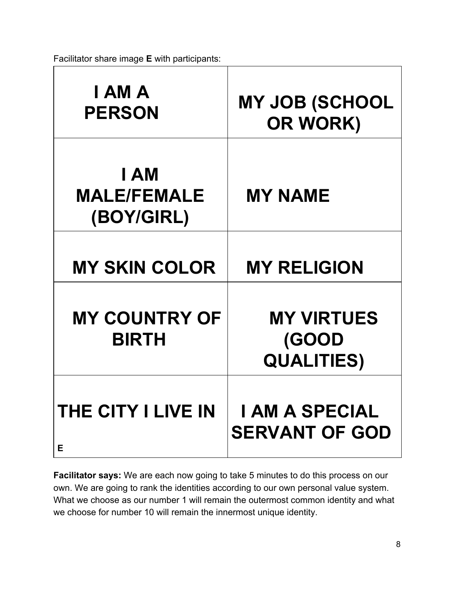Facilitator share image **E** with participants:

| I AM A<br><b>PERSON</b>                  | <b>MY JOB (SCHOOL</b><br>OR WORK)               |
|------------------------------------------|-------------------------------------------------|
| I AM<br><b>MALE/FEMALE</b><br>(BOY/GIRL) | <b>MY NAME</b>                                  |
| <b>MY SKIN COLOR</b>                     | <b>MY RELIGION</b>                              |
| <b>MY COUNTRY OF</b><br><b>BIRTH</b>     | <b>MY VIRTUES</b><br>(GOOD<br><b>QUALITIES)</b> |
| <b>THE CITY I LIVE IN</b><br>Е           | <b>I AM A SPECIAL</b><br><b>SERVANT OF GOD</b>  |

**Facilitator says:** We are each now going to take 5 minutes to do this process on our own. We are going to rank the identities according to our own personal value system. What we choose as our number 1 will remain the outermost common identity and what we choose for number 10 will remain the innermost unique identity.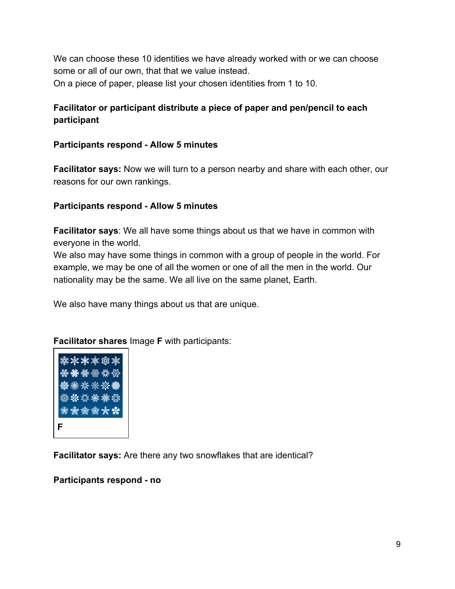We can choose these 10 identities we have already worked with or we can choose some or all of our own, that that we value instead. On a piece of paper, please list your chosen identities from 1 to 10.

# **Facilitator or participant distribute a piece of paper and pen/pencil to each participant**

**Participants respond - Allow 5 minutes**

**Facilitator says:** Now we will turn to a person nearby and share with each other, our reasons for our own rankings.

#### **Participants respond - Allow 5 minutes**

**Facilitator says**: We all have some things about us that we have in common with everyone in the world.

We also may have some things in common with a group of people in the world. For example, we may be one of all the women or one of all the men in the world. Our nationality may be the same. We all live on the same planet, Earth.

We also have many things about us that are unique.

**Facilitator shares** Image **F** with participants:



**Facilitator says:** Are there any two snowflakes that are identical?

#### **Participants respond - no**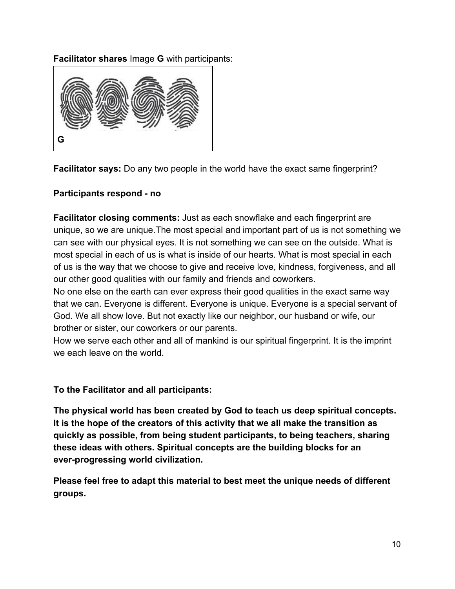**Facilitator shares** Image **G** with participants:



**Facilitator says:** Do any two people in the world have the exact same fingerprint?

## **Participants respond - no**

**Facilitator closing comments:** Just as each snowflake and each fingerprint are unique, so we are unique.The most special and important part of us is not something we can see with our physical eyes. It is not something we can see on the outside. What is most special in each of us is what is inside of our hearts. What is most special in each of us is the way that we choose to give and receive love, kindness, forgiveness, and all our other good qualities with our family and friends and coworkers.

No one else on the earth can ever express their good qualities in the exact same way that we can. Everyone is different. Everyone is unique. Everyone is a special servant of God. We all show love. But not exactly like our neighbor, our husband or wife, our brother or sister, our coworkers or our parents.

How we serve each other and all of mankind is our spiritual fingerprint. It is the imprint we each leave on the world.

**To the Facilitator and all participants:**

**The physical world has been created by God to teach us deep spiritual concepts. It is the hope of the creators of this activity that we all make the transition as quickly as possible, from being student participants, to being teachers, sharing these ideas with others. Spiritual concepts are the building blocks for an ever-progressing world civilization.**

**Please feel free to adapt this material to best meet the unique needs of different groups.**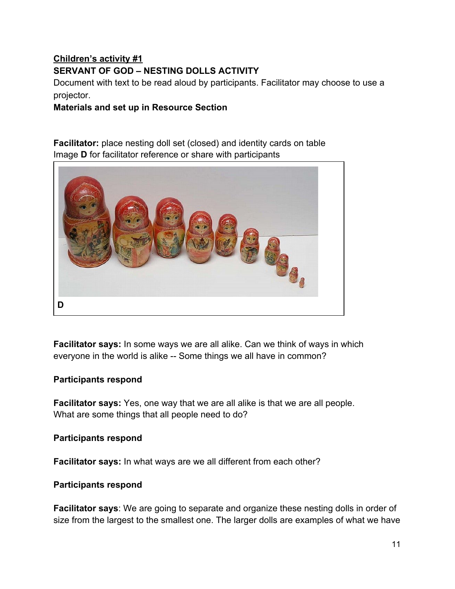# **Children's activity #1 SERVANT OF GOD – NESTING DOLLS ACTIVITY**

Document with text to be read aloud by participants. Facilitator may choose to use a projector.

**Materials and set up in Resource Section**

**Facilitator:** place nesting doll set (closed) and identity cards on table Image **D** for facilitator reference or share with participants



**Facilitator says:** In some ways we are all alike. Can we think of ways in which everyone in the world is alike -- Some things we all have in common?

#### **Participants respond**

**Facilitator says:** Yes, one way that we are all alike is that we are all people. What are some things that all people need to do?

**Participants respond**

**Facilitator says:** In what ways are we all different from each other?

#### **Participants respond**

**Facilitator says**: We are going to separate and organize these nesting dolls in order of size from the largest to the smallest one. The larger dolls are examples of what we have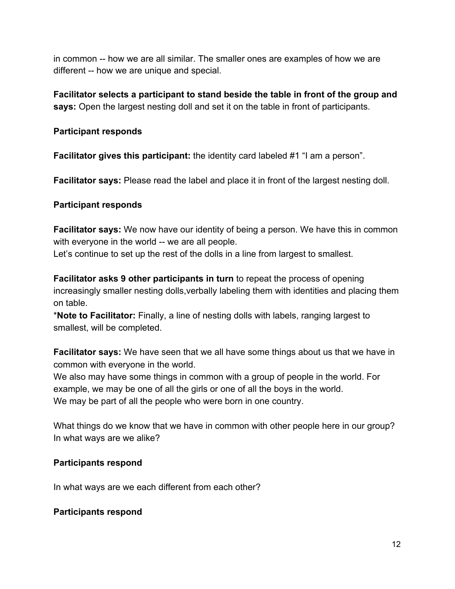in common -- how we are all similar. The smaller ones are examples of how we are different -- how we are unique and special.

**Facilitator selects a participant to stand beside the table in front of the group and says:** Open the largest nesting doll and set it on the table in front of participants.

#### **Participant responds**

**Facilitator gives this participant:** the identity card labeled #1 "I am a person".

**Facilitator says:** Please read the label and place it in front of the largest nesting doll.

## **Participant responds**

**Facilitator says:** We now have our identity of being a person. We have this in common with everyone in the world -- we are all people.

Let's continue to set up the rest of the dolls in a line from largest to smallest.

**Facilitator asks 9 other participants in turn** to repeat the process of opening increasingly smaller nesting dolls,verbally labeling them with identities and placing them on table.

\***Note to Facilitator:** Finally, a line of nesting dolls with labels, ranging largest to smallest, will be completed.

**Facilitator says:** We have seen that we all have some things about us that we have in common with everyone in the world.

We also may have some things in common with a group of people in the world. For example, we may be one of all the girls or one of all the boys in the world. We may be part of all the people who were born in one country.

What things do we know that we have in common with other people here in our group? In what ways are we alike?

## **Participants respond**

In what ways are we each different from each other?

## **Participants respond**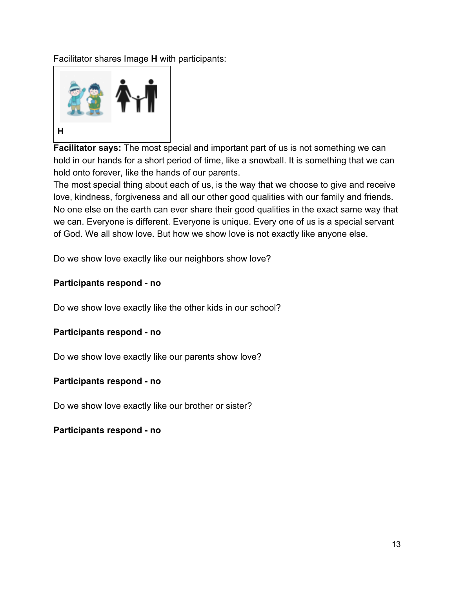Facilitator shares Image **H** with participants:



**Facilitator says:** The most special and important part of us is not something we can hold in our hands for a short period of time, like a snowball. It is something that we can hold onto forever, like the hands of our parents.

The most special thing about each of us, is the way that we choose to give and receive love, kindness, forgiveness and all our other good qualities with our family and friends. No one else on the earth can ever share their good qualities in the exact same way that we can. Everyone is different. Everyone is unique. Every one of us is a special servant of God. We all show love. But how we show love is not exactly like anyone else.

Do we show love exactly like our neighbors show love?

#### **Participants respond - no**

Do we show love exactly like the other kids in our school?

#### **Participants respond - no**

Do we show love exactly like our parents show love?

#### **Participants respond - no**

Do we show love exactly like our brother or sister?

#### **Participants respond - no**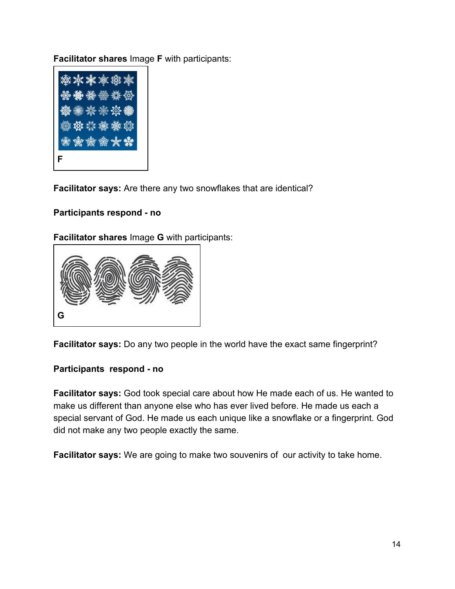**Facilitator shares** Image **F** with participants:



**Facilitator says:** Are there any two snowflakes that are identical?

#### **Participants respond - no**

#### **Facilitator shares** Image **G** with participants:



**Facilitator says:** Do any two people in the world have the exact same fingerprint?

#### **Participants respond - no**

**Facilitator says:** God took special care about how He made each of us. He wanted to make us different than anyone else who has ever lived before. He made us each a special servant of God. He made us each unique like a snowflake or a fingerprint. God did not make any two people exactly the same.

**Facilitator says:** We are going to make two souvenirs of our activity to take home.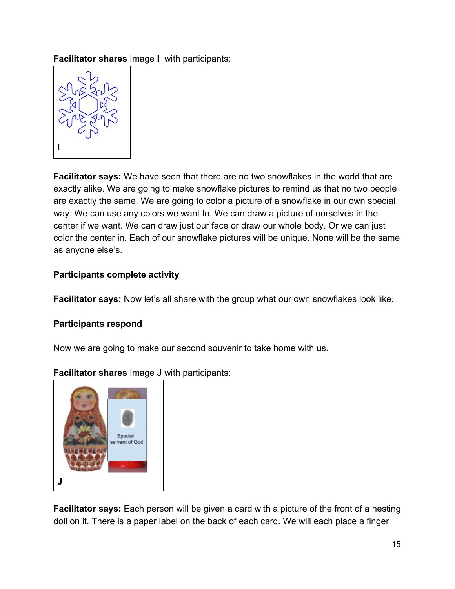**Facilitator shares** Image **I** with participants:



**Facilitator says:** We have seen that there are no two snowflakes in the world that are exactly alike. We are going to make snowflake pictures to remind us that no two people are exactly the same. We are going to color a picture of a snowflake in our own special way. We can use any colors we want to. We can draw a picture of ourselves in the center if we want. We can draw just our face or draw our whole body. Or we can just color the center in. Each of our snowflake pictures will be unique. None will be the same as anyone else's.

## **Participants complete activity**

**Facilitator says:** Now let's all share with the group what our own snowflakes look like.

#### **Participants respond**

Now we are going to make our second souvenir to take home with us.



**Facilitator shares** Image **J** with participants:

**Facilitator says:** Each person will be given a card with a picture of the front of a nesting doll on it. There is a paper label on the back of each card. We will each place a finger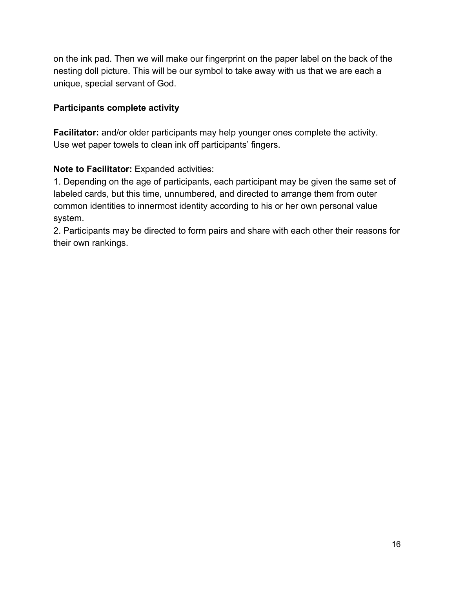on the ink pad. Then we will make our fingerprint on the paper label on the back of the nesting doll picture. This will be our symbol to take away with us that we are each a unique, special servant of God.

## **Participants complete activity**

**Facilitator:** and/or older participants may help younger ones complete the activity. Use wet paper towels to clean ink off participants' fingers.

## **Note to Facilitator:** Expanded activities:

1. Depending on the age of participants, each participant may be given the same set of labeled cards, but this time, unnumbered, and directed to arrange them from outer common identities to innermost identity according to his or her own personal value system.

2. Participants may be directed to form pairs and share with each other their reasons for their own rankings.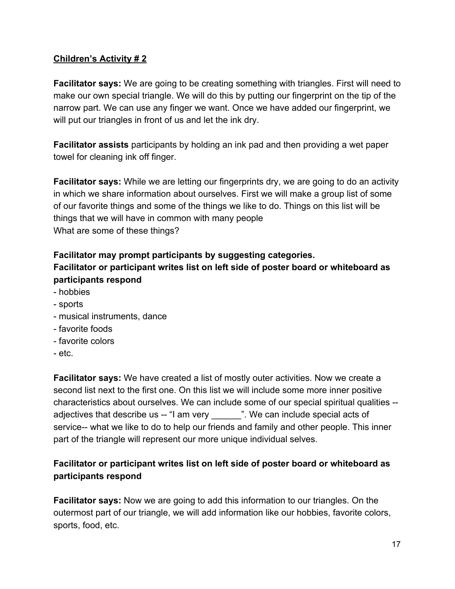## **Children's Activity # 2**

**Facilitator says:** We are going to be creating something with triangles. First will need to make our own special triangle. We will do this by putting our fingerprint on the tip of the narrow part. We can use any finger we want. Once we have added our fingerprint, we will put our triangles in front of us and let the ink dry.

**Facilitator assists** participants by holding an ink pad and then providing a wet paper towel for cleaning ink off finger.

**Facilitator says:** While we are letting our fingerprints dry, we are going to do an activity in which we share information about ourselves. First we will make a group list of some of our favorite things and some of the things we like to do. Things on this list will be things that we will have in common with many people What are some of these things?

# **Facilitator may prompt participants by suggesting categories. Facilitator or participant writes list on left side of poster board or whiteboard as participants respond**

- hobbies
- sports
- musical instruments, dance
- favorite foods
- favorite colors
- etc.

**Facilitator says:** We have created a list of mostly outer activities. Now we create a second list next to the first one. On this list we will include some more inner positive characteristics about ourselves. We can include some of our special spiritual qualities - adjectives that describe us -- "I am very ". We can include special acts of service-- what we like to do to help our friends and family and other people. This inner part of the triangle will represent our more unique individual selves.

# **Facilitator or participant writes list on left side of poster board or whiteboard as participants respond**

**Facilitator says:** Now we are going to add this information to our triangles. On the outermost part of our triangle, we will add information like our hobbies, favorite colors, sports, food, etc.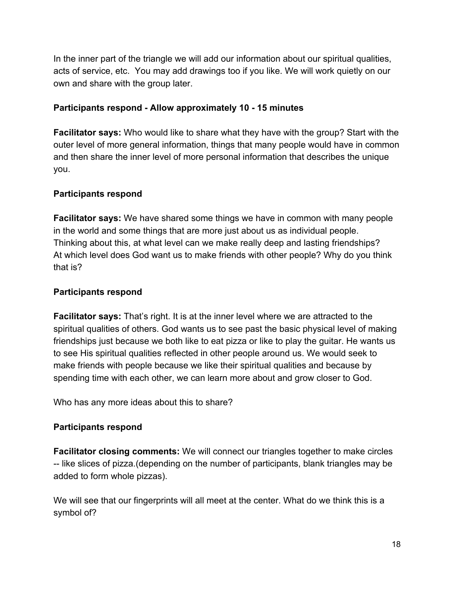In the inner part of the triangle we will add our information about our spiritual qualities, acts of service, etc. You may add drawings too if you like. We will work quietly on our own and share with the group later.

#### **Participants respond - Allow approximately 10 - 15 minutes**

**Facilitator says:** Who would like to share what they have with the group? Start with the outer level of more general information, things that many people would have in common and then share the inner level of more personal information that describes the unique you.

## **Participants respond**

**Facilitator says:** We have shared some things we have in common with many people in the world and some things that are more just about us as individual people. Thinking about this, at what level can we make really deep and lasting friendships? At which level does God want us to make friends with other people? Why do you think that is?

## **Participants respond**

**Facilitator says:** That's right. It is at the inner level where we are attracted to the spiritual qualities of others. God wants us to see past the basic physical level of making friendships just because we both like to eat pizza or like to play the guitar. He wants us to see His spiritual qualities reflected in other people around us. We would seek to make friends with people because we like their spiritual qualities and because by spending time with each other, we can learn more about and grow closer to God.

Who has any more ideas about this to share?

## **Participants respond**

**Facilitator closing comments:** We will connect our triangles together to make circles -- like slices of pizza.(depending on the number of participants, blank triangles may be added to form whole pizzas).

We will see that our fingerprints will all meet at the center. What do we think this is a symbol of?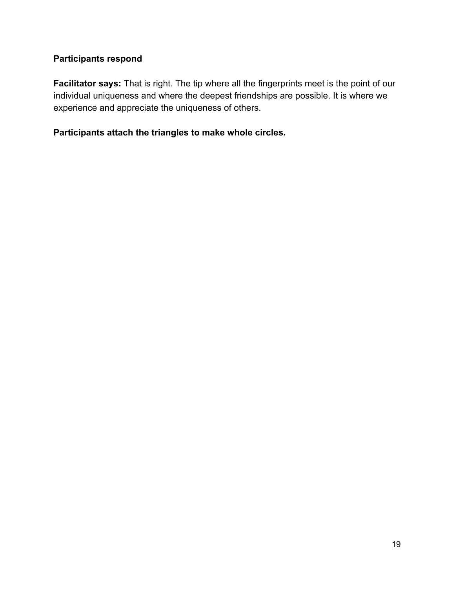## **Participants respond**

**Facilitator says:** That is right. The tip where all the fingerprints meet is the point of our individual uniqueness and where the deepest friendships are possible. It is where we experience and appreciate the uniqueness of others.

**Participants attach the triangles to make whole circles.**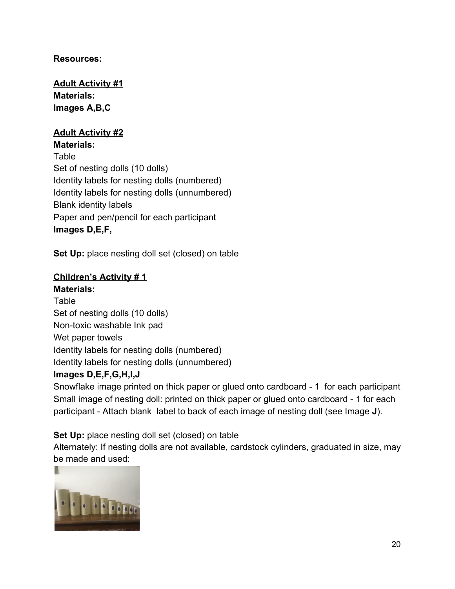## **Resources:**

**Adult Activity #1 Materials: Images A,B,C**

## **Adult Activity #2**

**Materials:** Table Set of nesting dolls (10 dolls) Identity labels for nesting dolls (numbered) Identity labels for nesting dolls (unnumbered) Blank identity labels Paper and pen/pencil for each participant **Images D,E,F,**

**Set Up:** place nesting doll set (closed) on table

#### **Children's Activity # 1**

**Materials:** Table Set of nesting dolls (10 dolls) Non-toxic washable Ink pad Wet paper towels Identity labels for nesting dolls (numbered) Identity labels for nesting dolls (unnumbered)

#### **Images D,E,F,G,H,I,J**

Snowflake image printed on thick paper or glued onto cardboard - 1 for each participant Small image of nesting doll: printed on thick paper or glued onto cardboard - 1 for each participant - Attach blank label to back of each image of nesting doll (see Image **J**).

**Set Up:** place nesting doll set (closed) on table

Alternately: If nesting dolls are not available, cardstock cylinders, graduated in size, may be made and used:

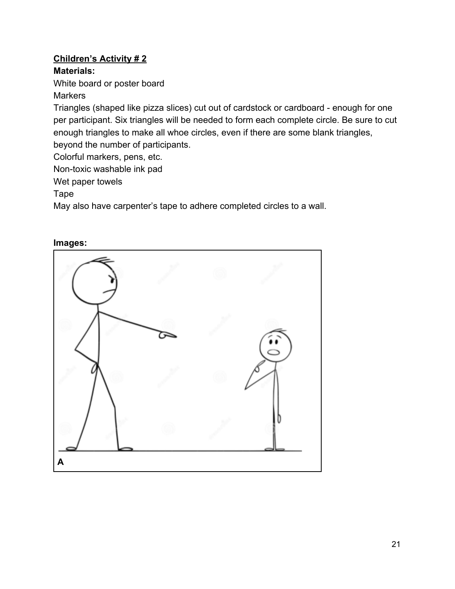# **Children's Activity # 2**

# **Materials:**

White board or poster board

# **Markers**

Triangles (shaped like pizza slices) cut out of cardstock or cardboard - enough for one per participant. Six triangles will be needed to form each complete circle. Be sure to cut enough triangles to make all whoe circles, even if there are some blank triangles, beyond the number of participants.

Colorful markers, pens, etc.

Non-toxic washable ink pad

Wet paper towels

Tape

May also have carpenter's tape to adhere completed circles to a wall.

## **Images:**

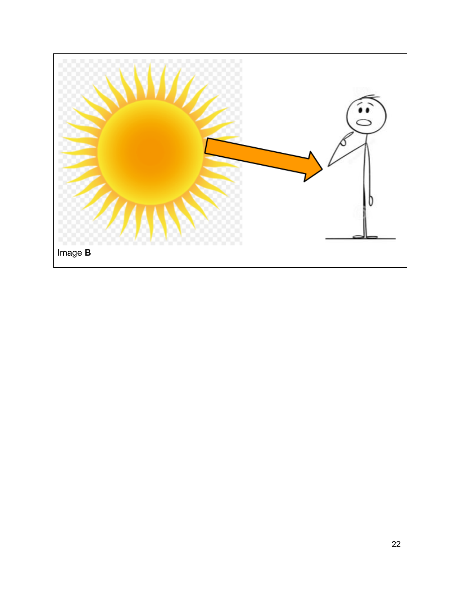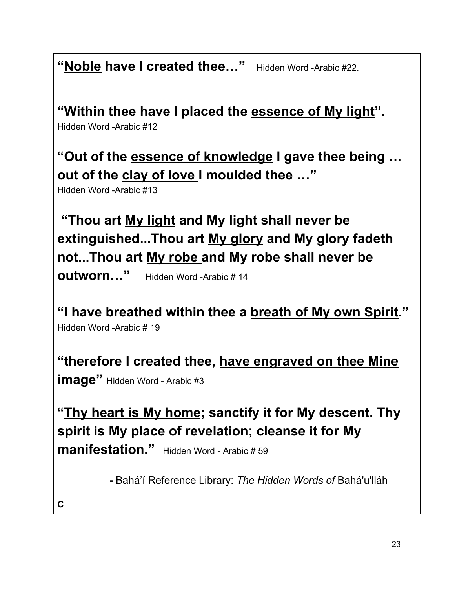"Noble have I created thee..." Hidden Word -Arabic #22.

**"Within thee have I placed the essence of My light".**

Hidden Word -Arabic #12

**"Out of the essence of knowledge I gave thee being … out of the clay of love I moulded thee …"**

Hidden Word -Arabic #13

 **"Thou art My light and My light shall never be extinguished...Thou art My glory and My glory fadeth not...Thou art My robe and My robe shall never be**

**outworn…"** Hidden Word -Arabic # 14

**"I have breathed within thee a breath of My own Spirit."** Hidden Word -Arabic # 19

**"therefore I created thee, have engraved on thee Mine**

**image"** Hidden Word - Arabic #3

**"Thy heart is My home; sanctify it for My descent. Thy spirit is My place of revelation; cleanse it for My manifestation."** Hidden Word - Arabic # 59

**-** Bahá'í Reference Library: *The Hidden Words of* Bahá'u'lláh

**C**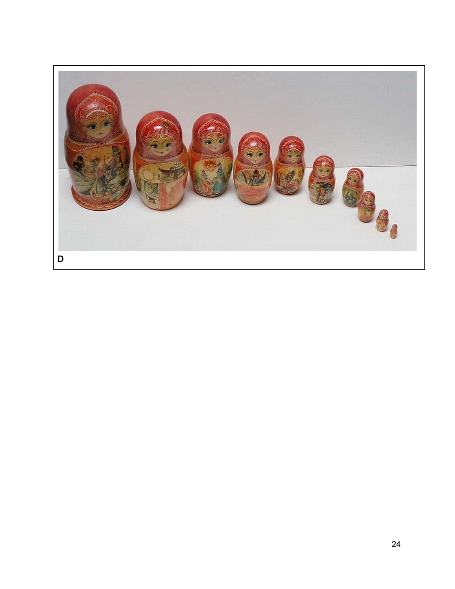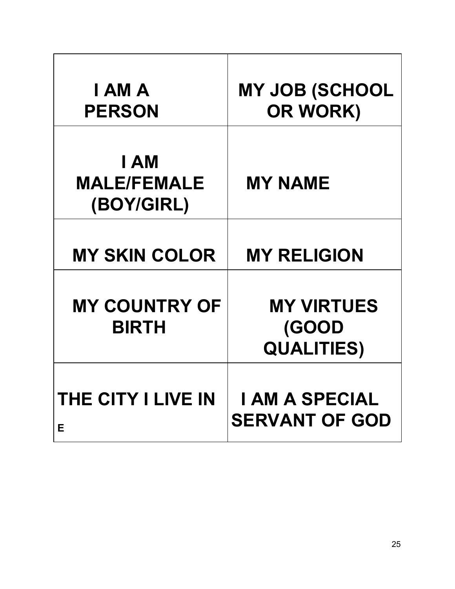| I AM A<br><b>PERSON</b>                  | <b>MY JOB (SCHOOL</b><br>OR WORK)               |
|------------------------------------------|-------------------------------------------------|
| I AM<br><b>MALE/FEMALE</b><br>(BOY/GIRL) | <b>MY NAME</b>                                  |
| <b>MY SKIN COLOR</b>                     | <b>MY RELIGION</b>                              |
| <b>MY COUNTRY OF</b><br><b>BIRTH</b>     | <b>MY VIRTUES</b><br>(GOOD<br><b>QUALITIES)</b> |
| <b>THE CITY I LIVE IN</b><br>Е           | <b>I AM A SPECIAL</b><br><b>SERVANT OF GOD</b>  |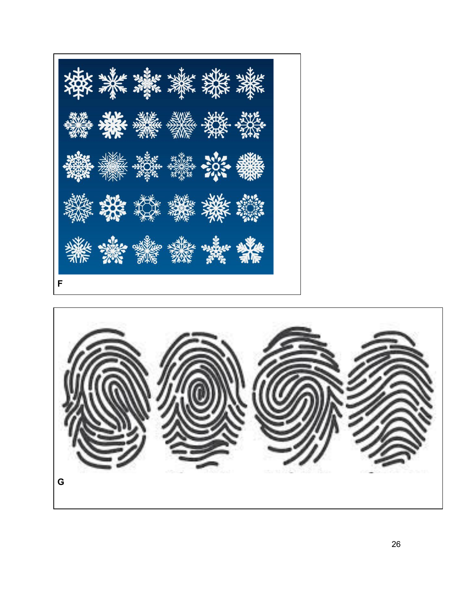

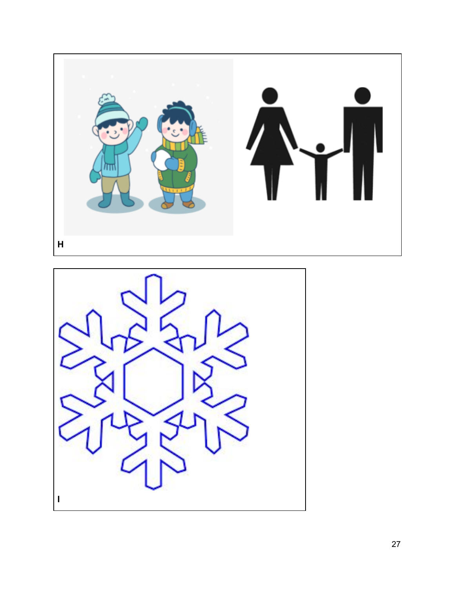

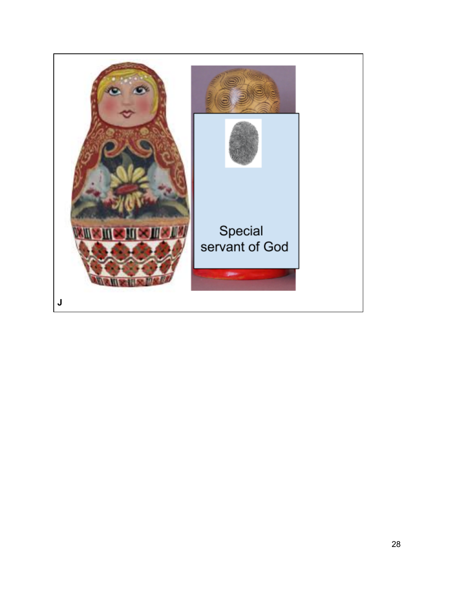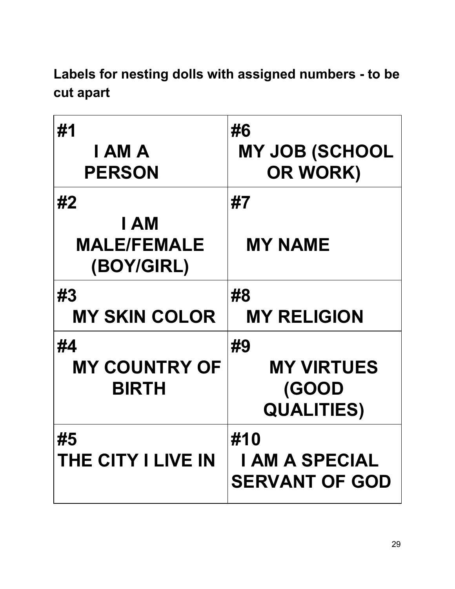**Labels for nesting dolls with assigned numbers - to be cut apart**

| #1<br>I AM A<br><b>PERSON</b>                  | #6<br><b>MY JOB (SCHOOL</b><br>OR WORK)               |
|------------------------------------------------|-------------------------------------------------------|
| #2<br>I AM<br><b>MALE/FEMALE</b><br>(BOY/GIRL) | #7<br><b>MY NAME</b>                                  |
| #3<br><b>MY SKIN COLOR</b>                     | #8<br><b>MY RELIGION</b>                              |
| #4<br><b>MY COUNTRY OF</b><br><b>BIRTH</b>     | #9<br><b>MY VIRTUES</b><br>(GOOD<br><b>QUALITIES)</b> |
| #5<br><b>THE CITY I LIVE IN</b>                | #10<br><b>I AM A SPECIAL</b><br><b>SERVANT OF GOD</b> |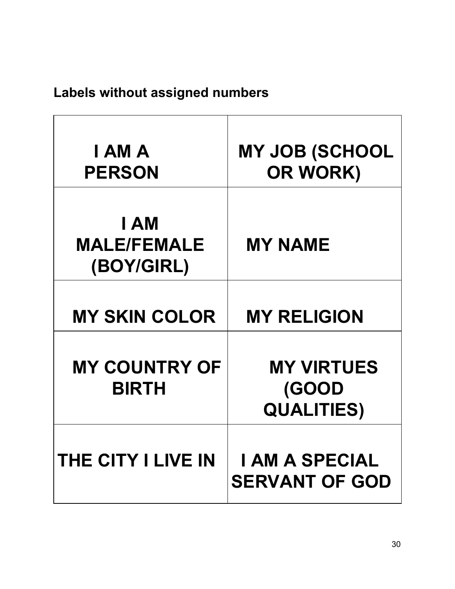# **Labels without assigned numbers**

| I AM A<br><b>PERSON</b>                  | <b>MY JOB (SCHOOL</b><br>OR WORK)               |
|------------------------------------------|-------------------------------------------------|
| I AM<br><b>MALE/FEMALE</b><br>(BOY/GIRL) | <b>MY NAME</b>                                  |
| <b>MY SKIN COLOR</b>                     | <b>MY RELIGION</b>                              |
| <b>MY COUNTRY OF</b><br><b>BIRTH</b>     | <b>MY VIRTUES</b><br>(GOOD<br><b>QUALITIES)</b> |
| <b>THE CITY I LIVE IN</b>                | <b>I AM A SPECIAL</b><br><b>SERVANT OF GOD</b>  |